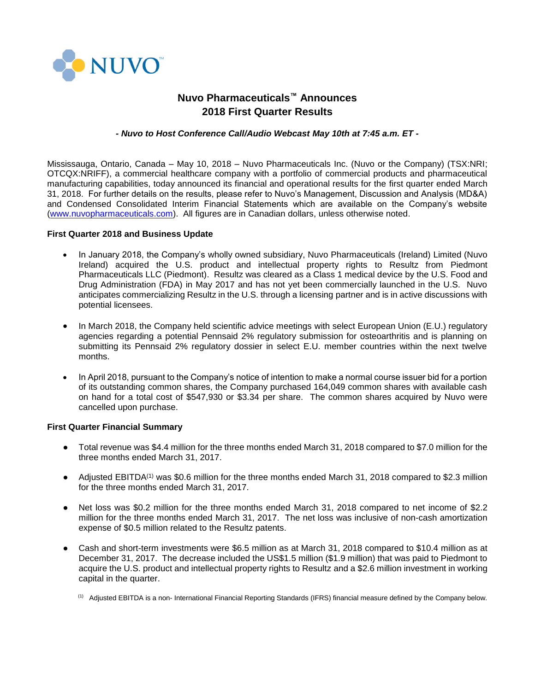

# **Nuvo Pharmaceuticals™ Announces 2018 First Quarter Results**

## *- Nuvo to Host Conference Call/Audio Webcast May 10th at 7:45 a.m. ET -*

Mississauga, Ontario, Canada – May 10, 2018 – Nuvo Pharmaceuticals Inc. (Nuvo or the Company) (TSX:NRI; OTCQX:NRIFF), a commercial healthcare company with a portfolio of commercial products and pharmaceutical manufacturing capabilities, today announced its financial and operational results for the first quarter ended March 31, 2018. For further details on the results, please refer to Nuvo's Management, Discussion and Analysis (MD&A) and Condensed Consolidated Interim Financial Statements which are available on the Company's website [\(www.nuvopharmaceuticals.com\)](http://www.nuvopharmaceuticals.com/). All figures are in Canadian dollars, unless otherwise noted.

#### **First Quarter 2018 and Business Update**

- In January 2018, the Company's wholly owned subsidiary, Nuvo Pharmaceuticals (Ireland) Limited (Nuvo Ireland) acquired the U.S. product and intellectual property rights to Resultz from Piedmont Pharmaceuticals LLC (Piedmont). Resultz was cleared as a Class 1 medical device by the U.S. Food and Drug Administration (FDA) in May 2017 and has not yet been commercially launched in the U.S. Nuvo anticipates commercializing Resultz in the U.S. through a licensing partner and is in active discussions with potential licensees.
- In March 2018, the Company held scientific advice meetings with select European Union (E.U.) regulatory agencies regarding a potential Pennsaid 2% regulatory submission for osteoarthritis and is planning on submitting its Pennsaid 2% regulatory dossier in select E.U. member countries within the next twelve months.
- In April 2018, pursuant to the Company's notice of intention to make a normal course issuer bid for a portion of its outstanding common shares, the Company purchased 164,049 common shares with available cash on hand for a total cost of \$547,930 or \$3.34 per share. The common shares acquired by Nuvo were cancelled upon purchase.

## **First Quarter Financial Summary**

- Total revenue was \$4.4 million for the three months ended March 31, 2018 compared to \$7.0 million for the three months ended March 31, 2017.
- Adjusted EBITDA<sup>(1)</sup> was \$0.6 million for the three months ended March 31, 2018 compared to \$2.3 million for the three months ended March 31, 2017.
- Net loss was \$0.2 million for the three months ended March 31, 2018 compared to net income of \$2.2 million for the three months ended March 31, 2017. The net loss was inclusive of non-cash amortization expense of \$0.5 million related to the Resultz patents.
- Cash and short-term investments were \$6.5 million as at March 31, 2018 compared to \$10.4 million as at December 31, 2017. The decrease included the US\$1.5 million (\$1.9 million) that was paid to Piedmont to acquire the U.S. product and intellectual property rights to Resultz and a \$2.6 million investment in working capital in the quarter.

<sup>(1)</sup> Adjusted EBITDA is a non- International Financial Reporting Standards (IFRS) financial measure defined by the Company below.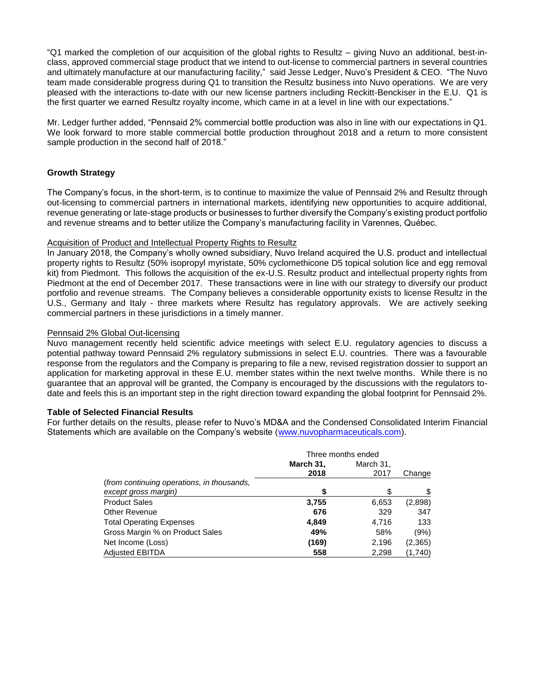"Q1 marked the completion of our acquisition of the global rights to Resultz – giving Nuvo an additional, best-inclass, approved commercial stage product that we intend to out-license to commercial partners in several countries and ultimately manufacture at our manufacturing facility," said Jesse Ledger, Nuvo's President & CEO. "The Nuvo team made considerable progress during Q1 to transition the Resultz business into Nuvo operations. We are very pleased with the interactions to-date with our new license partners including Reckitt-Benckiser in the E.U. Q1 is the first quarter we earned Resultz royalty income, which came in at a level in line with our expectations."

Mr. Ledger further added, "Pennsaid 2% commercial bottle production was also in line with our expectations in Q1. We look forward to more stable commercial bottle production throughout 2018 and a return to more consistent sample production in the second half of 2018."

# **Growth Strategy**

The Company's focus, in the short-term, is to continue to maximize the value of Pennsaid 2% and Resultz through out-licensing to commercial partners in international markets, identifying new opportunities to acquire additional, revenue generating or late-stage products or businesses to further diversify the Company's existing product portfolio and revenue streams and to better utilize the Company's manufacturing facility in Varennes, Québec.

## Acquisition of Product and Intellectual Property Rights to Resultz

In January 2018, the Company's wholly owned subsidiary, Nuvo Ireland acquired the U.S. product and intellectual property rights to Resultz (50% isopropyl myristate, 50% cyclomethicone D5 topical solution lice and egg removal kit) from Piedmont. This follows the acquisition of the ex-U.S. Resultz product and intellectual property rights from Piedmont at the end of December 2017. These transactions were in line with our strategy to diversify our product portfolio and revenue streams. The Company believes a considerable opportunity exists to license Resultz in the U.S., Germany and Italy - three markets where Resultz has regulatory approvals. We are actively seeking commercial partners in these jurisdictions in a timely manner.

# Pennsaid 2% Global Out-licensing

Nuvo management recently held scientific advice meetings with select E.U. regulatory agencies to discuss a potential pathway toward Pennsaid 2% regulatory submissions in select E.U. countries. There was a favourable response from the regulators and the Company is preparing to file a new, revised registration dossier to support an application for marketing approval in these E.U. member states within the next twelve months. While there is no guarantee that an approval will be granted, the Company is encouraged by the discussions with the regulators todate and feels this is an important step in the right direction toward expanding the global footprint for Pennsaid 2%.

## **Table of Selected Financial Results**

For further details on the results, please refer to Nuvo's MD&A and the Condensed Consolidated Interim Financial Statements which are available on the Company's website [\(www.nuvopharmaceuticals.com\)](http://www.nuvopharmaceuticals.com/).

|                                            | Three months ended |           |          |
|--------------------------------------------|--------------------|-----------|----------|
|                                            | March 31,          | March 31, |          |
|                                            | 2018               | 2017      | Change   |
| (from continuing operations, in thousands, |                    |           |          |
| except gross margin)                       | \$                 |           | \$       |
| <b>Product Sales</b>                       | 3,755              | 6,653     | (2,898)  |
| <b>Other Revenue</b>                       | 676                | 329       | 347      |
| <b>Total Operating Expenses</b>            | 4.849              | 4.716     | 133      |
| Gross Margin % on Product Sales            | 49%                | 58%       | (9% )    |
| Net Income (Loss)                          | (169)              | 2,196     | (2, 365) |
| <b>Adjusted EBITDA</b>                     | 558                | 2,298     | (1,740)  |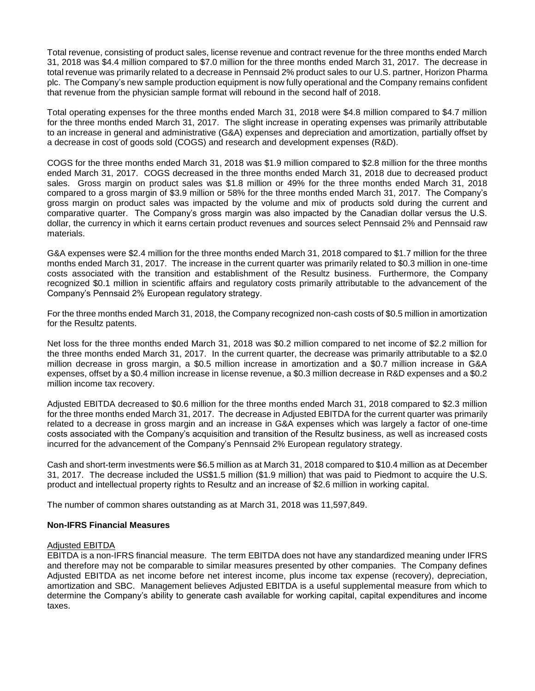Total revenue, consisting of product sales, license revenue and contract revenue for the three months ended March 31, 2018 was \$4.4 million compared to \$7.0 million for the three months ended March 31, 2017. The decrease in total revenue was primarily related to a decrease in Pennsaid 2% product sales to our U.S. partner, Horizon Pharma plc. The Company's new sample production equipment is now fully operational and the Company remains confident that revenue from the physician sample format will rebound in the second half of 2018.

Total operating expenses for the three months ended March 31, 2018 were \$4.8 million compared to \$4.7 million for the three months ended March 31, 2017. The slight increase in operating expenses was primarily attributable to an increase in general and administrative (G&A) expenses and depreciation and amortization, partially offset by a decrease in cost of goods sold (COGS) and research and development expenses (R&D).

COGS for the three months ended March 31, 2018 was \$1.9 million compared to \$2.8 million for the three months ended March 31, 2017. COGS decreased in the three months ended March 31, 2018 due to decreased product sales. Gross margin on product sales was \$1.8 million or 49% for the three months ended March 31, 2018 compared to a gross margin of \$3.9 million or 58% for the three months ended March 31, 2017. The Company's gross margin on product sales was impacted by the volume and mix of products sold during the current and comparative quarter. The Company's gross margin was also impacted by the Canadian dollar versus the U.S. dollar, the currency in which it earns certain product revenues and sources select Pennsaid 2% and Pennsaid raw materials.

G&A expenses were \$2.4 million for the three months ended March 31, 2018 compared to \$1.7 million for the three months ended March 31, 2017. The increase in the current quarter was primarily related to \$0.3 million in one-time costs associated with the transition and establishment of the Resultz business. Furthermore, the Company recognized \$0.1 million in scientific affairs and regulatory costs primarily attributable to the advancement of the Company's Pennsaid 2% European regulatory strategy.

For the three months ended March 31, 2018, the Company recognized non-cash costs of \$0.5 million in amortization for the Resultz patents.

Net loss for the three months ended March 31, 2018 was \$0.2 million compared to net income of \$2.2 million for the three months ended March 31, 2017. In the current quarter, the decrease was primarily attributable to a \$2.0 million decrease in gross margin, a \$0.5 million increase in amortization and a \$0.7 million increase in G&A expenses, offset by a \$0.4 million increase in license revenue, a \$0.3 million decrease in R&D expenses and a \$0.2 million income tax recovery.

Adjusted EBITDA decreased to \$0.6 million for the three months ended March 31, 2018 compared to \$2.3 million for the three months ended March 31, 2017. The decrease in Adjusted EBITDA for the current quarter was primarily related to a decrease in gross margin and an increase in G&A expenses which was largely a factor of one-time costs associated with the Company's acquisition and transition of the Resultz business, as well as increased costs incurred for the advancement of the Company's Pennsaid 2% European regulatory strategy.

Cash and short-term investments were \$6.5 million as at March 31, 2018 compared to \$10.4 million as at December 31, 2017. The decrease included the US\$1.5 million (\$1.9 million) that was paid to Piedmont to acquire the U.S. product and intellectual property rights to Resultz and an increase of \$2.6 million in working capital.

The number of common shares outstanding as at March 31, 2018 was 11,597,849.

## **Non-IFRS Financial Measures**

#### Adjusted EBITDA

EBITDA is a non-IFRS financial measure. The term EBITDA does not have any standardized meaning under IFRS and therefore may not be comparable to similar measures presented by other companies. The Company defines Adjusted EBITDA as net income before net interest income, plus income tax expense (recovery), depreciation, amortization and SBC. Management believes Adjusted EBITDA is a useful supplemental measure from which to determine the Company's ability to generate cash available for working capital, capital expenditures and income taxes.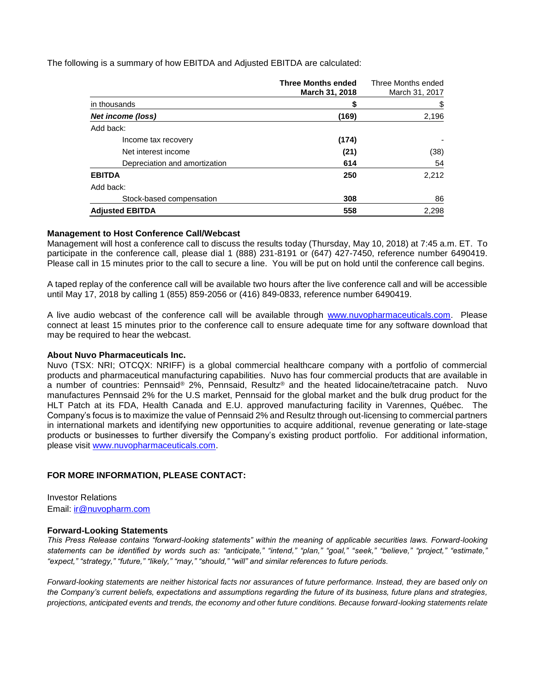The following is a summary of how EBITDA and Adjusted EBITDA are calculated:

|                               | <b>Three Months ended</b> | Three Months ended |
|-------------------------------|---------------------------|--------------------|
|                               | March 31, 2018            | March 31, 2017     |
| in thousands                  |                           | \$                 |
| Net income (loss)             | (169)                     | 2,196              |
| Add back:                     |                           |                    |
| Income tax recovery           | (174)                     |                    |
| Net interest income           | (21)                      | (38)               |
| Depreciation and amortization | 614                       | 54                 |
| <b>EBITDA</b>                 | 250                       | 2,212              |
| Add back:                     |                           |                    |
| Stock-based compensation      | 308                       | 86                 |
| <b>Adjusted EBITDA</b>        | 558                       | 2,298              |

#### **Management to Host Conference Call/Webcast**

Management will host a conference call to discuss the results today (Thursday, May 10, 2018) at 7:45 a.m. ET. To participate in the conference call, please dial 1 (888) 231-8191 or (647) 427-7450, reference number 6490419. Please call in 15 minutes prior to the call to secure a line. You will be put on hold until the conference call begins.

A taped replay of the conference call will be available two hours after the live conference call and will be accessible until May 17, 2018 by calling 1 (855) 859-2056 or (416) 849-0833, reference number 6490419.

A live audio webcast of the conference call will be available through [www.nuvopharmaceuticals.com.](http://www.nuvopharmaceuticals.com/) Please connect at least 15 minutes prior to the conference call to ensure adequate time for any software download that may be required to hear the webcast.

## **About Nuvo Pharmaceuticals Inc.**

Nuvo (TSX: NRI; OTCQX: NRIFF) is a global commercial healthcare company with a portfolio of commercial products and pharmaceutical manufacturing capabilities. Nuvo has four commercial products that are available in a number of countries: Pennsaid® 2%, Pennsaid, Resultz® and the heated lidocaine/tetracaine patch. Nuvo manufactures Pennsaid 2% for the U.S market, Pennsaid for the global market and the bulk drug product for the HLT Patch at its FDA, Health Canada and E.U. approved manufacturing facility in Varennes, Québec. The Company's focus is to maximize the value of Pennsaid 2% and Resultz through out-licensing to commercial partners in international markets and identifying new opportunities to acquire additional, revenue generating or late-stage products or businesses to further diversify the Company's existing product portfolio. For additional information, please visit [www.nuvopharmaceuticals.com.](http://www.nuvopharmaceuticals.com/)

## **FOR MORE INFORMATION, PLEASE CONTACT:**

Investor Relations Email: [ir@nuvopharm.com](mailto:ir@nuvopharm.com)

#### **Forward-Looking Statements**

*This Press Release contains "forward-looking statements" within the meaning of applicable securities laws. Forward-looking statements can be identified by words such as: "anticipate," "intend," "plan," "goal," "seek," "believe," "project," "estimate," "expect," "strategy," "future," "likely," "may," "should," "will" and similar references to future periods.* 

*Forward-looking statements are neither historical facts nor assurances of future performance. Instead, they are based only on the Company's current beliefs, expectations and assumptions regarding the future of its business, future plans and strategies, projections, anticipated events and trends, the economy and other future conditions. Because forward-looking statements relate*